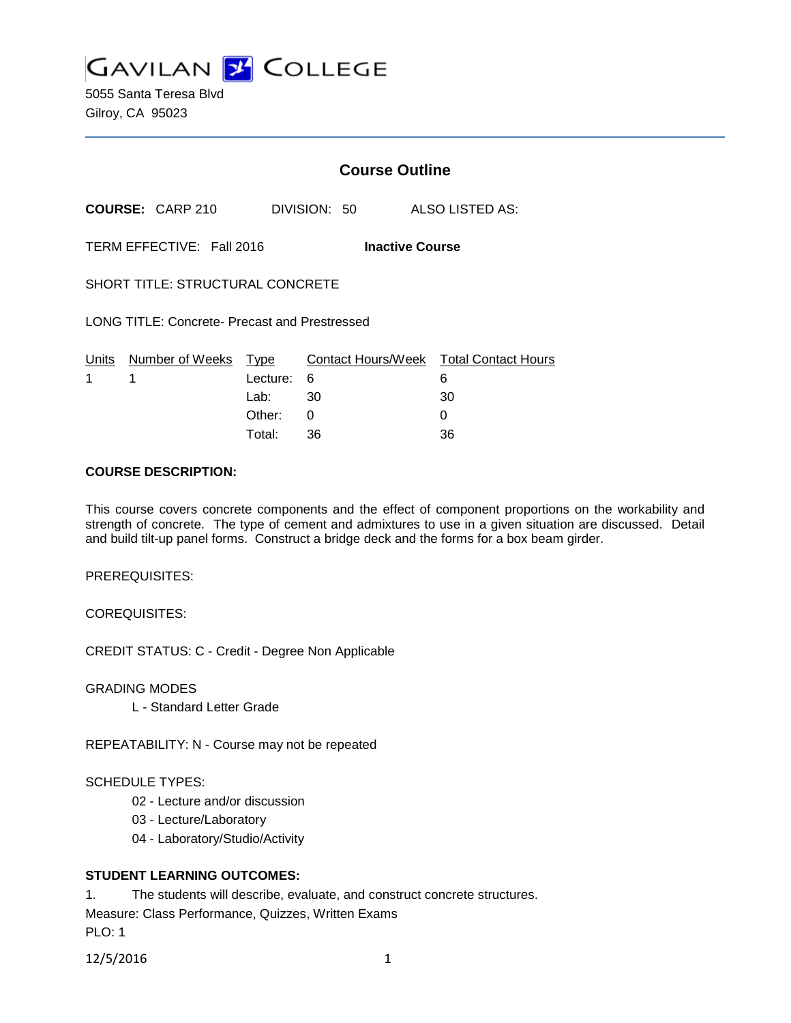**GAVILAN 2 COLLEGE** 

5055 Santa Teresa Blvd Gilroy, CA 95023

# **Course Outline**

**COURSE:** CARP 210 DIVISION: 50 ALSO LISTED AS:

TERM EFFECTIVE: Fall 2016 **Inactive Course**

SHORT TITLE: STRUCTURAL CONCRETE

LONG TITLE: Concrete- Precast and Prestressed

|             | Units Number of Weeks Type |            | Contact Hours/Week  Total Contact Hours |    |
|-------------|----------------------------|------------|-----------------------------------------|----|
| $1 \quad 1$ |                            | Lecture: 6 |                                         |    |
|             |                            | Lab: _     | - 30                                    | 30 |
|             |                            | Other:     |                                         |    |
|             |                            | Total:     | -36                                     | 36 |

#### **COURSE DESCRIPTION:**

This course covers concrete components and the effect of component proportions on the workability and strength of concrete. The type of cement and admixtures to use in a given situation are discussed. Detail and build tilt-up panel forms. Construct a bridge deck and the forms for a box beam girder.

PREREQUISITES:

COREQUISITES:

CREDIT STATUS: C - Credit - Degree Non Applicable

GRADING MODES

L - Standard Letter Grade

REPEATABILITY: N - Course may not be repeated

#### SCHEDULE TYPES:

- 02 Lecture and/or discussion
- 03 Lecture/Laboratory
- 04 Laboratory/Studio/Activity

#### **STUDENT LEARNING OUTCOMES:**

1. The students will describe, evaluate, and construct concrete structures.

Measure: Class Performance, Quizzes, Written Exams

PLO: 1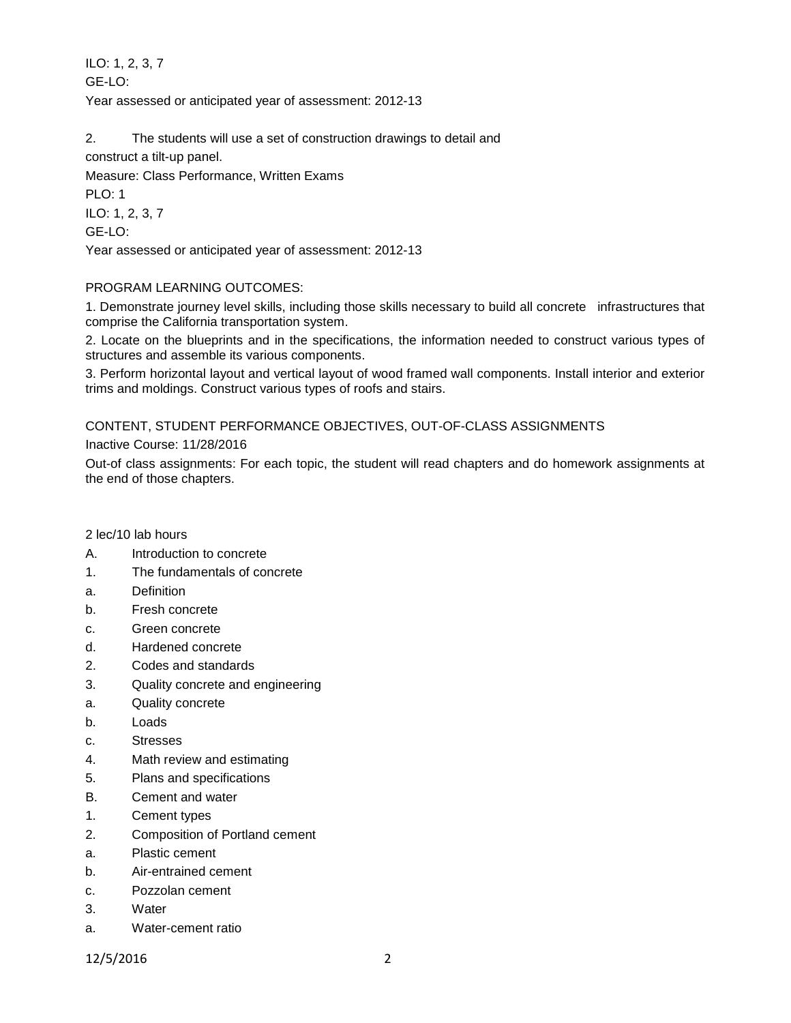ILO: 1, 2, 3, 7 GE-LO: Year assessed or anticipated year of assessment: 2012-13

2. The students will use a set of construction drawings to detail and

construct a tilt-up panel.

Measure: Class Performance, Written Exams PLO: 1 ILO: 1, 2, 3, 7 GE-LO: Year assessed or anticipated year of assessment: 2012-13

# PROGRAM LEARNING OUTCOMES:

1. Demonstrate journey level skills, including those skills necessary to build all concrete infrastructures that comprise the California transportation system.

2. Locate on the blueprints and in the specifications, the information needed to construct various types of structures and assemble its various components.

3. Perform horizontal layout and vertical layout of wood framed wall components. Install interior and exterior trims and moldings. Construct various types of roofs and stairs.

# CONTENT, STUDENT PERFORMANCE OBJECTIVES, OUT-OF-CLASS ASSIGNMENTS

Inactive Course: 11/28/2016

Out-of class assignments: For each topic, the student will read chapters and do homework assignments at the end of those chapters.

### 2 lec/10 lab hours

- A. Introduction to concrete
- 1. The fundamentals of concrete
- a. Definition
- b. Fresh concrete
- c. Green concrete
- d. Hardened concrete
- 2. Codes and standards
- 3. Quality concrete and engineering
- a. Quality concrete
- b. Loads
- c. Stresses
- 4. Math review and estimating
- 5. Plans and specifications
- B. Cement and water
- 1. Cement types
- 2. Composition of Portland cement
- a. Plastic cement
- b. Air-entrained cement
- c. Pozzolan cement
- 3. Water
- a. Water-cement ratio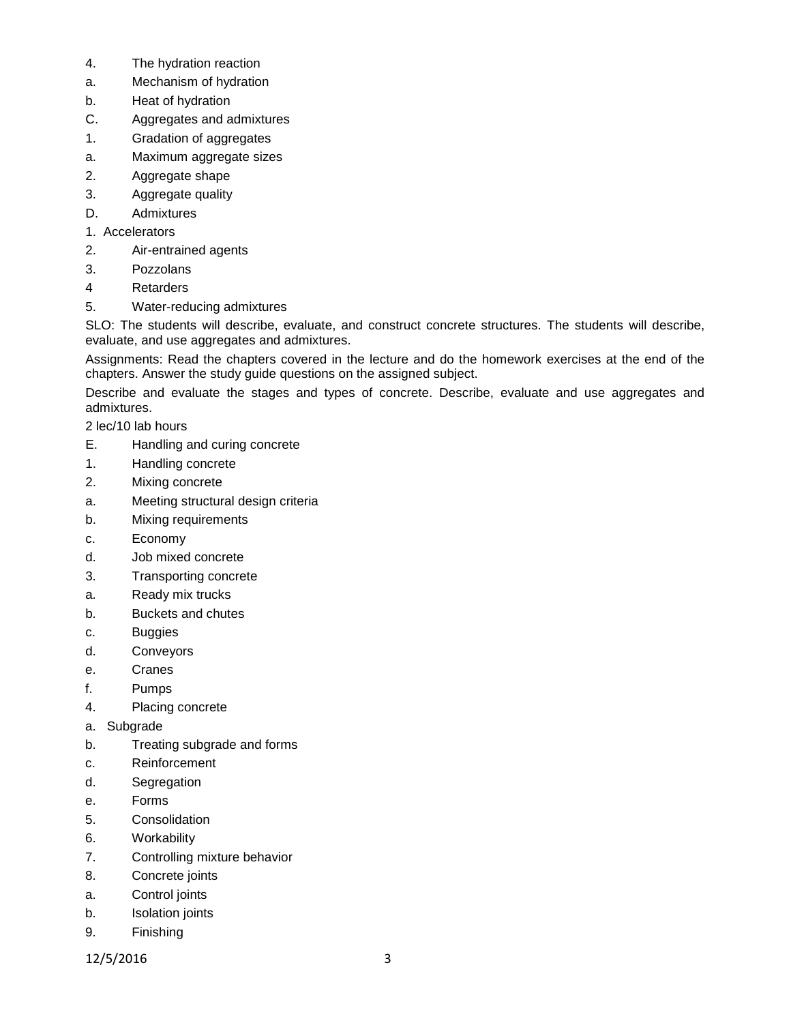- 4. The hydration reaction
- a. Mechanism of hydration
- b. Heat of hydration
- C. Aggregates and admixtures
- 1. Gradation of aggregates
- a. Maximum aggregate sizes
- 2. Aggregate shape
- 3. Aggregate quality
- D. Admixtures
- 1. Accelerators
- 2. Air-entrained agents
- 3. Pozzolans
- 4 Retarders
- 5. Water-reducing admixtures

SLO: The students will describe, evaluate, and construct concrete structures. The students will describe, evaluate, and use aggregates and admixtures.

Assignments: Read the chapters covered in the lecture and do the homework exercises at the end of the chapters. Answer the study guide questions on the assigned subject.

Describe and evaluate the stages and types of concrete. Describe, evaluate and use aggregates and admixtures.

2 lec/10 lab hours

- E. Handling and curing concrete
- 1. Handling concrete
- 2. Mixing concrete
- a. Meeting structural design criteria
- b. Mixing requirements
- c. Economy
- d. Job mixed concrete
- 3. Transporting concrete
- a. Ready mix trucks
- b. Buckets and chutes
- c. Buggies
- d. Conveyors
- e. Cranes
- f. Pumps
- 4. Placing concrete
- a. Subgrade
- b. Treating subgrade and forms
- c. Reinforcement
- d. Segregation
- e. Forms
- 5. Consolidation
- 6. Workability
- 7. Controlling mixture behavior
- 8. Concrete joints
- a. Control joints
- b. Isolation joints
- 9. Finishing
- 12/5/2016 3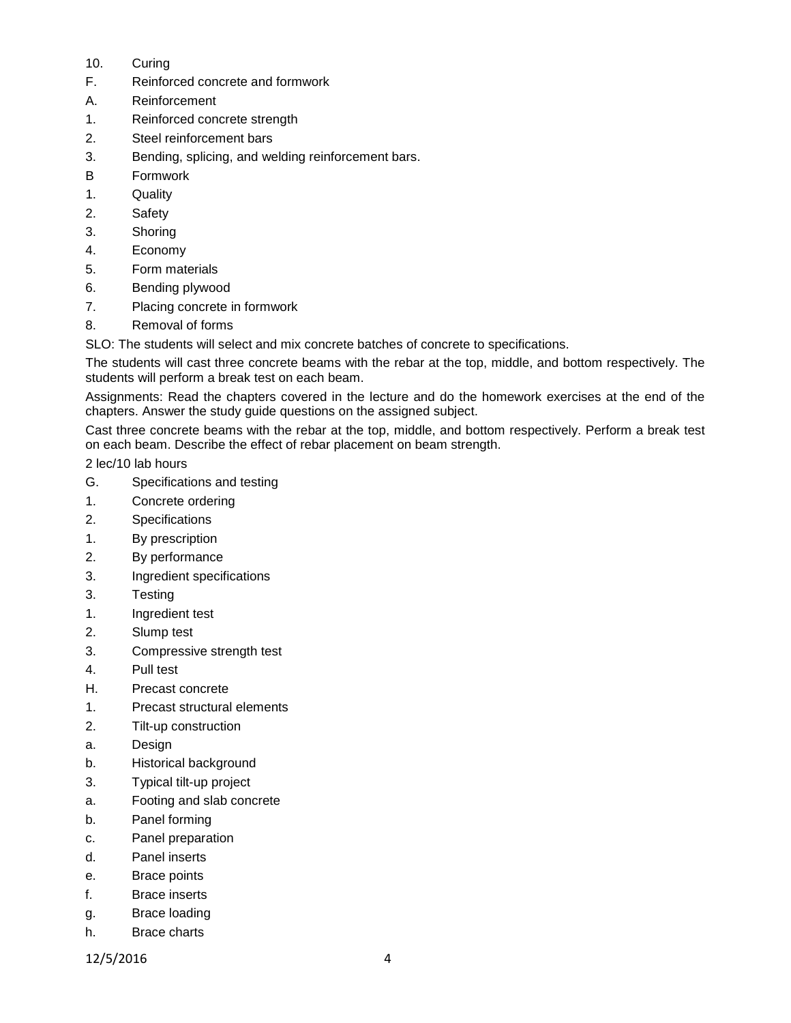- 10. Curing
- F. Reinforced concrete and formwork
- A. Reinforcement
- 1. Reinforced concrete strength
- 2. Steel reinforcement bars
- 3. Bending, splicing, and welding reinforcement bars.
- B Formwork
- 1. Quality
- 2. Safety
- 3. Shoring
- 4. Economy
- 5. Form materials
- 6. Bending plywood
- 7. Placing concrete in formwork
- 8. Removal of forms

SLO: The students will select and mix concrete batches of concrete to specifications.

The students will cast three concrete beams with the rebar at the top, middle, and bottom respectively. The students will perform a break test on each beam.

Assignments: Read the chapters covered in the lecture and do the homework exercises at the end of the chapters. Answer the study guide questions on the assigned subject.

Cast three concrete beams with the rebar at the top, middle, and bottom respectively. Perform a break test on each beam. Describe the effect of rebar placement on beam strength.

2 lec/10 lab hours

- G. Specifications and testing
- 1. Concrete ordering
- 2. Specifications
- 1. By prescription
- 2. By performance
- 3. Ingredient specifications
- 3. Testing
- 1. Ingredient test
- 2. Slump test
- 3. Compressive strength test
- 4. Pull test
- H. Precast concrete
- 1. Precast structural elements
- 2. Tilt-up construction
- a. Design
- b. Historical background
- 3. Typical tilt-up project
- a. Footing and slab concrete
- b. Panel forming
- c. Panel preparation
- d. Panel inserts
- e. Brace points
- f. Brace inserts
- g. Brace loading
- h. Brace charts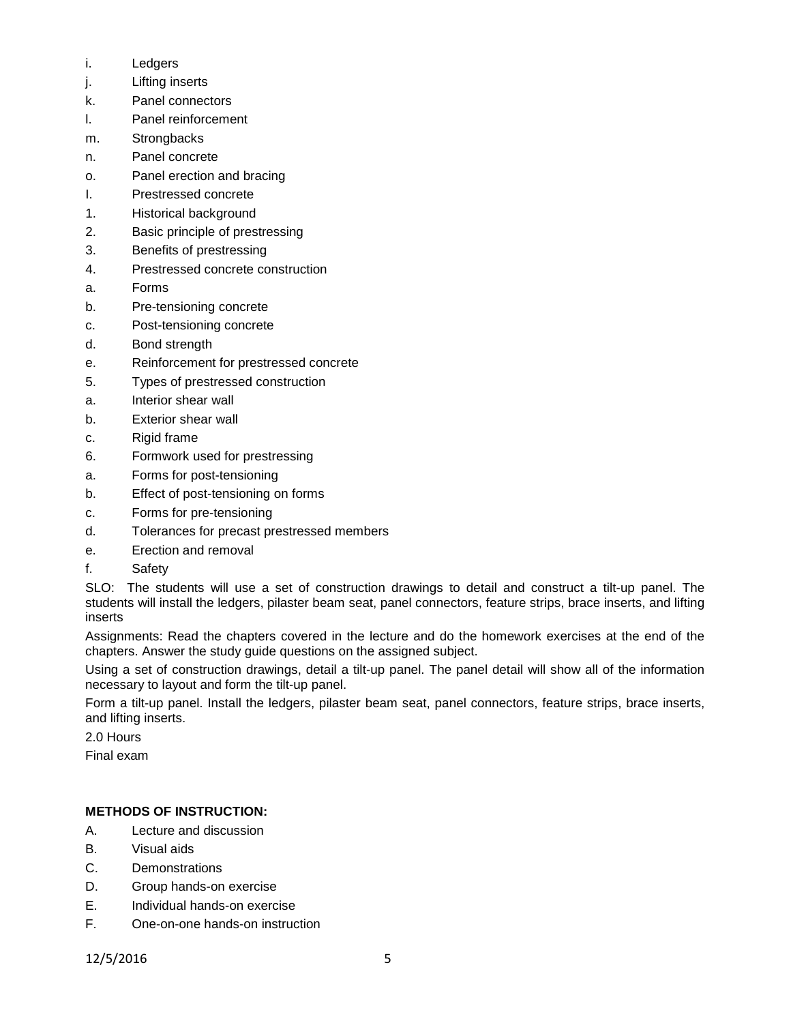- i. Ledgers
- j. Lifting inserts
- k. Panel connectors
- l. Panel reinforcement
- m. Strongbacks
- n. Panel concrete
- o. Panel erection and bracing
- I. Prestressed concrete
- 1. Historical background
- 2. Basic principle of prestressing
- 3. Benefits of prestressing
- 4. Prestressed concrete construction
- a. Forms
- b. Pre-tensioning concrete
- c. Post-tensioning concrete
- d. Bond strength
- e. Reinforcement for prestressed concrete
- 5. Types of prestressed construction
- a. Interior shear wall
- b. Exterior shear wall
- c. Rigid frame
- 6. Formwork used for prestressing
- a. Forms for post-tensioning
- b. Effect of post-tensioning on forms
- c. Forms for pre-tensioning
- d. Tolerances for precast prestressed members
- e. Erection and removal
- f. Safety

SLO: The students will use a set of construction drawings to detail and construct a tilt-up panel. The students will install the ledgers, pilaster beam seat, panel connectors, feature strips, brace inserts, and lifting inserts

Assignments: Read the chapters covered in the lecture and do the homework exercises at the end of the chapters. Answer the study guide questions on the assigned subject.

Using a set of construction drawings, detail a tilt-up panel. The panel detail will show all of the information necessary to layout and form the tilt-up panel.

Form a tilt-up panel. Install the ledgers, pilaster beam seat, panel connectors, feature strips, brace inserts, and lifting inserts.

2.0 Hours

Final exam

### **METHODS OF INSTRUCTION:**

- A. Lecture and discussion
- B. Visual aids
- C. Demonstrations
- D. Group hands-on exercise
- E. Individual hands-on exercise
- F. One-on-one hands-on instruction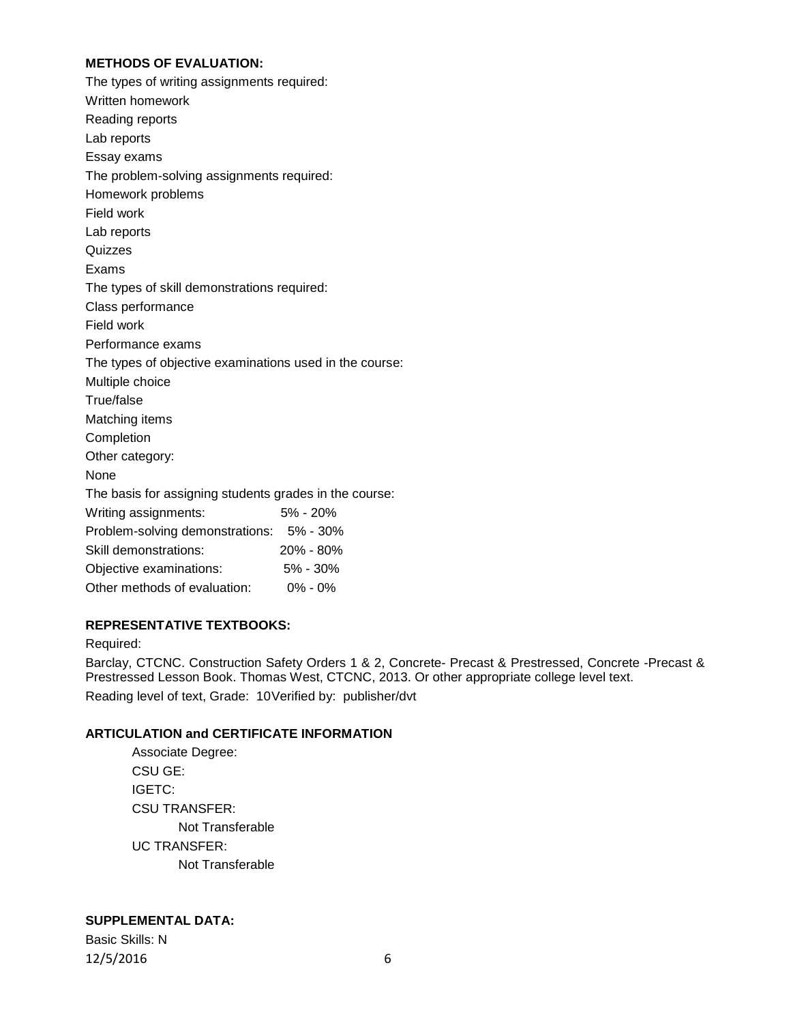### **METHODS OF EVALUATION:**

| The types of writing assignments required:              |              |
|---------------------------------------------------------|--------------|
| Written homework                                        |              |
| Reading reports                                         |              |
| Lab reports                                             |              |
| Essay exams                                             |              |
| The problem-solving assignments required:               |              |
| Homework problems                                       |              |
| Field work                                              |              |
| Lab reports                                             |              |
| Quizzes                                                 |              |
| Exams                                                   |              |
| The types of skill demonstrations required:             |              |
| Class performance                                       |              |
| Field work                                              |              |
| Performance exams                                       |              |
| The types of objective examinations used in the course: |              |
| Multiple choice                                         |              |
| True/false                                              |              |
| Matching items                                          |              |
| Completion                                              |              |
| Other category:                                         |              |
| None                                                    |              |
| The basis for assigning students grades in the course:  |              |
| Writing assignments:                                    | 5% - 20%     |
| Problem-solving demonstrations: 5% - 30%                |              |
| Skill demonstrations:                                   | 20% - 80%    |
| Objective examinations:                                 | $5\% - 30\%$ |
| Other methods of evaluation:                            | $0\% - 0\%$  |

### **REPRESENTATIVE TEXTBOOKS:**

#### Required:

Barclay, CTCNC. Construction Safety Orders 1 & 2, Concrete- Precast & Prestressed, Concrete -Precast & Prestressed Lesson Book. Thomas West, CTCNC, 2013. Or other appropriate college level text. Reading level of text, Grade: 10Verified by: publisher/dvt

### **ARTICULATION and CERTIFICATE INFORMATION**

#### **SUPPLEMENTAL DATA:**

Basic Skills: N 12/5/2016 6